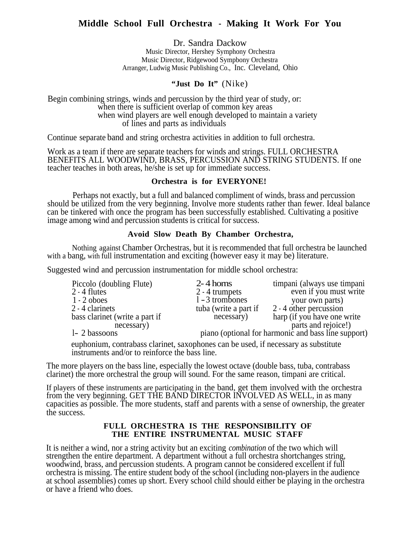# **Middle School Full Orchestra - Making It Work For You**

Dr. Sandra Dackow

Music Director, Hershey Symphony Orchestra Music Director, Ridgewood Sympbony Orchestra Arranger, Ludwig Music Publishing Co., Inc. Cleveland, Ohio

### **"Just Do It"** (Nike)

Begin combining strings, winds and percussion by the third year of study, or: when there is sufficient overlap of common key areas when wind players are well enough developed to maintain a variety of lines and parts as individuals

Continue separate band and string orchestra activities in addition to full orchestra.

Work as a team if there are separate teachers for winds and strings. FULL ORCHESTRA BENEFITS ALL WOODWIND, BRASS, PERCUSSION AND STRING STUDENTS. If one teacher teaches in both areas, he/she is set up for immediate success.

### **Orchestra is for EVERYONE!**

Perhaps not exactly, but a full and balanced compliment of winds, brass and percussion should be utilized from the very beginning. Involve more students rather than fewer. Ideal balance can be tinkered with once the program has been successfully established. Cultivating a positive image among wind and percussion students is critical for success.

# **Avoid Slow Death By Chamber Orchestra,**

Nothing against Chamber Orchestras, but it is recommended that full orchestra be launched with a bang, with full instrumentation and exciting (however easy it may be) literature.

Suggested wind and percussion instrumentation for middle school orchestra:

| Piccolo (doubling Flute)       | $2 - 4$ horns                                       | timpani (always use timpani |
|--------------------------------|-----------------------------------------------------|-----------------------------|
| $2 - 4$ flutes                 | 2 - 4 trumpets                                      | even if you must write      |
| $1 - 2$ oboes                  | $1 - 3$ trombones                                   | your own parts)             |
| 2 - 4 clarinets                | tuba (write a part if                               | 2 - 4 other percussion      |
| bass clarinet (write a part if | necessary)                                          | harp (if you have one write |
| necessary)                     |                                                     | parts and rejoice!)         |
| 1- 2 bassoons                  | piano (optional for harmonic and bass line support) |                             |

euphonium, contrabass clarinet, saxophones can be used, if necessary as substitute instruments and/or to reinforce the bass line.

The more players on the bass line, especially the lowest octave (double bass, tuba, contrabass clarinet) the more orchestral the group will sound. For the same reason, timpani are critical.

If players of these instruments are participating in the band, get them involved with the orchestra from the very beginning. GET THE BAND DIRECTOR INVOLVED AS WELL, in as many capacities as possible. The more students, staff and parents with a sense of ownership, the greater the success.

### **FULL ORCHESTRA IS THE RESPONSIBILITY OF THE ENTIRE INSTRUMENTAL MUSIC STAFF**

It is neither a wind, nor a string activity but an exciting *combination* of the two which will strengthen the entire department. A department without a full orchestra shortchanges string, woodwind, brass, and percussion students. A program cannot be considered excellent if full orchestra is missing. The entire student body of the school (including non-players in the audience at school assemblies) comes up short. Every school child should either be playing in the orchestra or have a friend who does.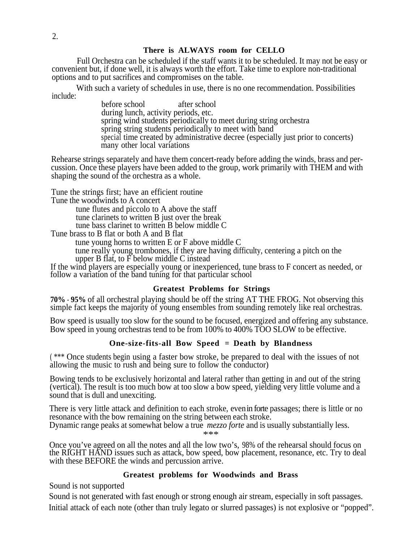# **There is ALWAYS room for CELLO**

Full Orchestra can be scheduled if the staff wants it to be scheduled. It may not be easy or convenient but, if done well, it is always worth the effort. Take time to explore non-traditional options and to put sacrifices and compromises on the table.

With such a variety of schedules in use, there is no one recommendation. Possibilities include:

before school after school during lunch, activity periods, etc. spring wind students periodically to meet during string orchestra spring string students periodically to meet with band special time created by administrative decree (especially just prior to concerts) many other local variations

Rehearse strings separately and have them concert-ready before adding the winds, brass and percussion. Once these players have been added to the group, work primarily with THEM and with shaping the sound of the orchestra as a whole.

Tune the strings first; have an efficient routine

Tune the woodwinds to A concert

tune flutes and piccolo to A above the staff tune clarinets to written B just over the break tune bass clarinet to written B below middle C

Tune brass to B flat or both A and B flat

tune young horns to written E or F above middle C

tune really young trombones, if they are having difficulty, centering a pitch on the upper B flat, to F below middle C instead

If the wind players are especially young or inexperienced, tune brass to F concert as needed, or follow a variation of the band tuning for that particular school

# **Greatest Problems for Strings**

**70% - 95%** of all orchestral playing should be off the string AT THE FROG. Not observing this simple fact keeps the majority of young ensembles from sounding remotely like real orchestras.

Bow speed is usually too slow for the sound to be focused, energized and offering any substance. Bow speed in young orchestras tend to be from 100% to 400% TOO SLOW to be effective.

# **One-size-fits-all Bow Speed = Death by Blandness**

( \*\*\* Once students begin using a faster bow stroke, be prepared to deal with the issues of not allowing the music to rush and being sure to follow the conductor)

Bowing tends to be exclusively horizontal and lateral rather than getting in and out of the string (vertical). The result is too much bow at too slow a bow speed, yielding very little volume and a sound that is dull and unexciting.

There is very little attack and definition to each stroke, even in forte passages; there is little or no resonance with the bow remaining on the string between each stroke.

Dynamic range peaks at somewhat below a true *mezzo forte* and is usually substantially less.

\*\*\*

Once you've agreed on all the notes and all the low two's, 98% of the rehearsal should focus on the RIGHT HAND issues such as attack, bow speed, bow placement, resonance, etc. Try to deal with these BEFORE the winds and percussion arrive.

# **Greatest problems for Woodwinds and Brass**

Sound is not supported

Sound is not generated with fast enough or strong enough air stream, especially in soft passages. Initial attack of each note (other than truly legato or slurred passages) is not explosive or "popped".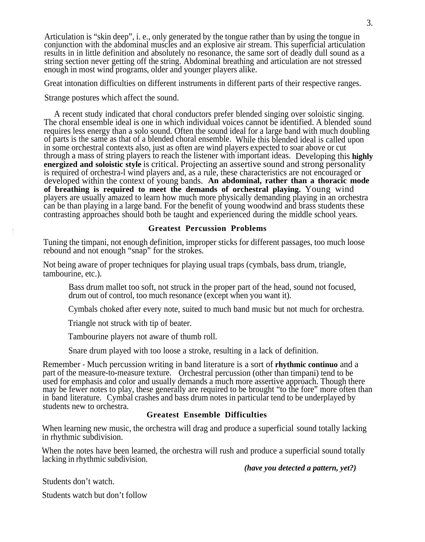Articulation is "skin deep", i. e., only generated by the tongue rather than by using the tongue in conjunction with the abdominal muscles and an explosive air stream. This superficial articulation results in in little definition and absolutely no resonance, the same sort of deadly dull sound as a string section never getting off the string. Abdominal breathing and articulation are not stressed enough in most wind programs, older and younger players alike.

Great intonation difficulties on different instruments in different parts of their respective ranges.

Strange postures which affect the sound.

A recent study indicated that choral conductors prefer blended singing over soloistic singing. The choral ensemble ideal is one in which individual voices cannot be identified. A blended sound requires less energy than a solo sound. Often the sound ideal for a large band with much doubling of parts is the same as that of a blended choral ensemble. While this blended ideal is called upon of parts is the same as that of a blended choral ensemble. While this blended ideal is called upon in some orchestral contexts also, just as often are wind players expected to soar above or cut through a mass of string players to reach the listener with important ideas. Developing this **highly energized and soloistic style** is critical. Projecting an assertive sound and strong personality is required of orchestra-l wind players and, as a rule, these characteristics are not encouraged or developed within the context of young bands. **An abdominal, rather than a thoracic mode of breathing is required to meet the demands of orchestral playing.** Young wind players are usually amazed to learn how much more physically demanding playing in an orchestra can be than playing in a large band. For the benefit of young woodwind and brass students these contrasting approaches should both be taught and experienced during the middle school years.

#### **Greatest Percussion Problems**

Tuning the timpani, not enough definition, improper sticks for different passages, too much loose rebound and not enough "snap" for the strokes.

Not being aware of proper techniques for playing usual traps (cymbals, bass drum, triangle, tambourine, etc.).

Bass drum mallet too soft, not struck in the proper part of the head, sound not focused, drum out of control, too much resonance (except when you want it).

Cymbals choked after every note, suited to much band music but not much for orchestra.

Triangle not struck with tip of beater.

Tambourine players not aware of thumb roll.

Snare drum played with too loose a stroke, resulting in a lack of definition.

Remember - Much percussion writing in band literature is a sort of **rhythmic continuo** and a part of the measure-to-measure texture. Orchestral percussion (other than timpani) tend to be used for emphasis and color and usually demands a much more assertive approach. Though there may be fewer notes to play, these generally are required to be brought "to the fore" more often than in band literature. Cymbal crashes and bass drum notes in particular tend to be underplayed by students new to orchestra.

### **Greatest Ensemble Difficulties**

When learning new music, the orchestra will drag and produce a superficial sound totally lacking in rhythmic subdivision.

When the notes have been learned, the orchestra will rush and produce a superficial sound totally lacking in rhythmic subdivision.

*(have you detected a pattern, yet?)*

Students don't watch.

Students watch but don't follow